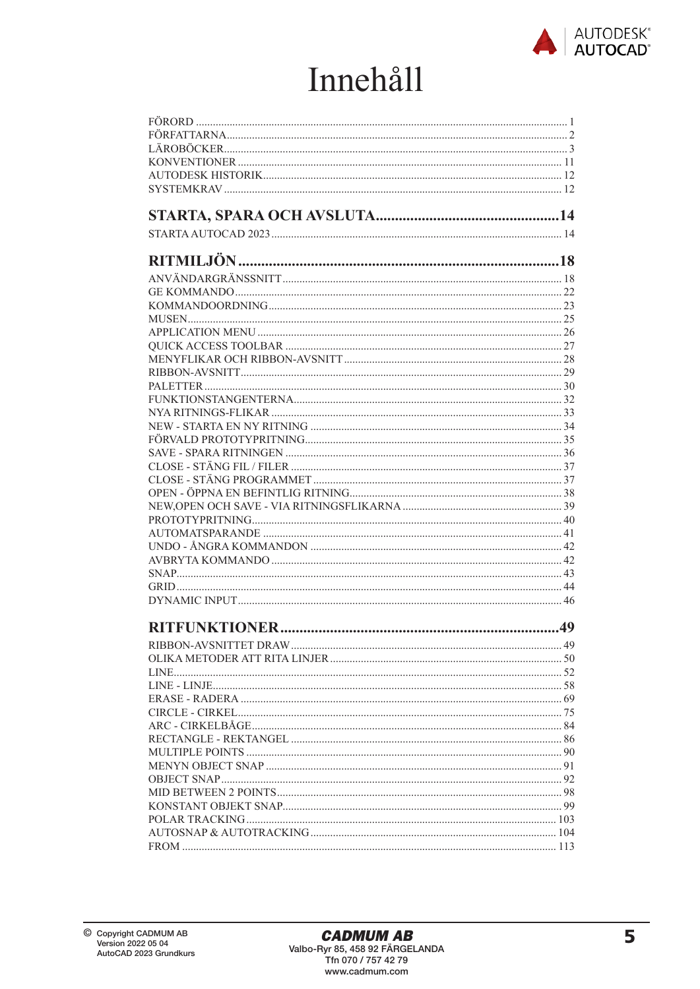

## Innehåll

| 49 |
|----|
|    |
|    |
|    |
|    |
|    |
|    |
|    |
|    |
|    |
|    |
|    |
|    |
|    |
|    |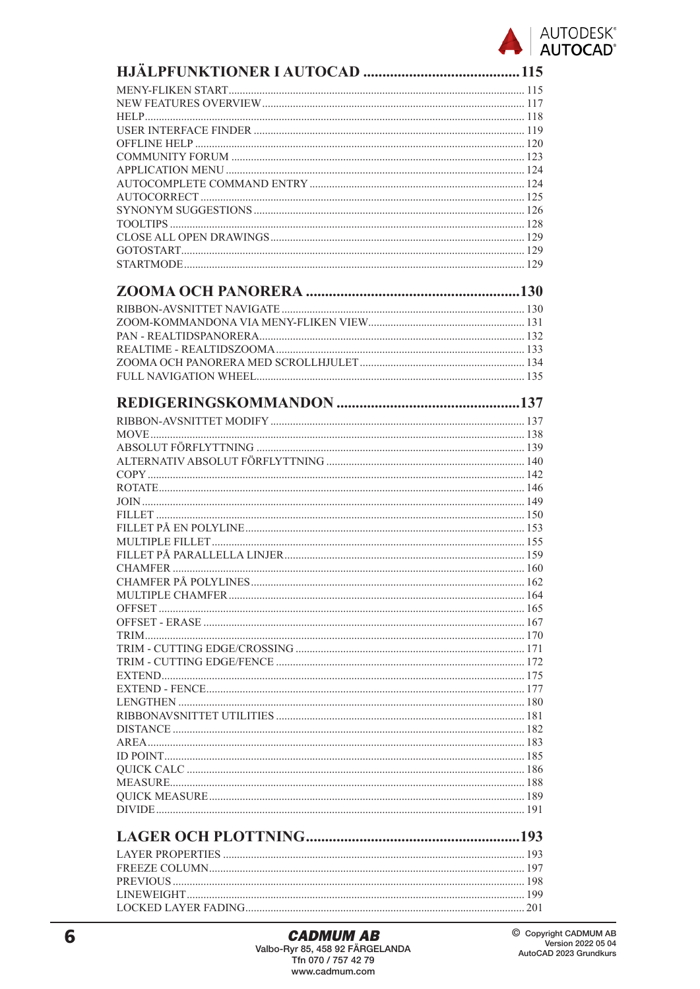

| I OCKED LAYER FADING | 201 |
|----------------------|-----|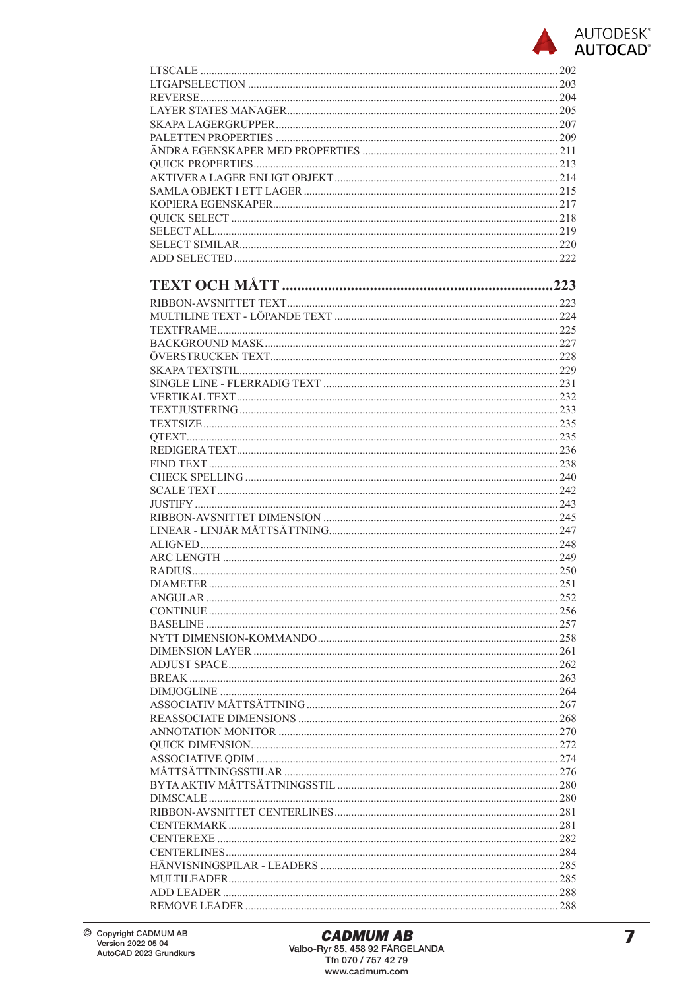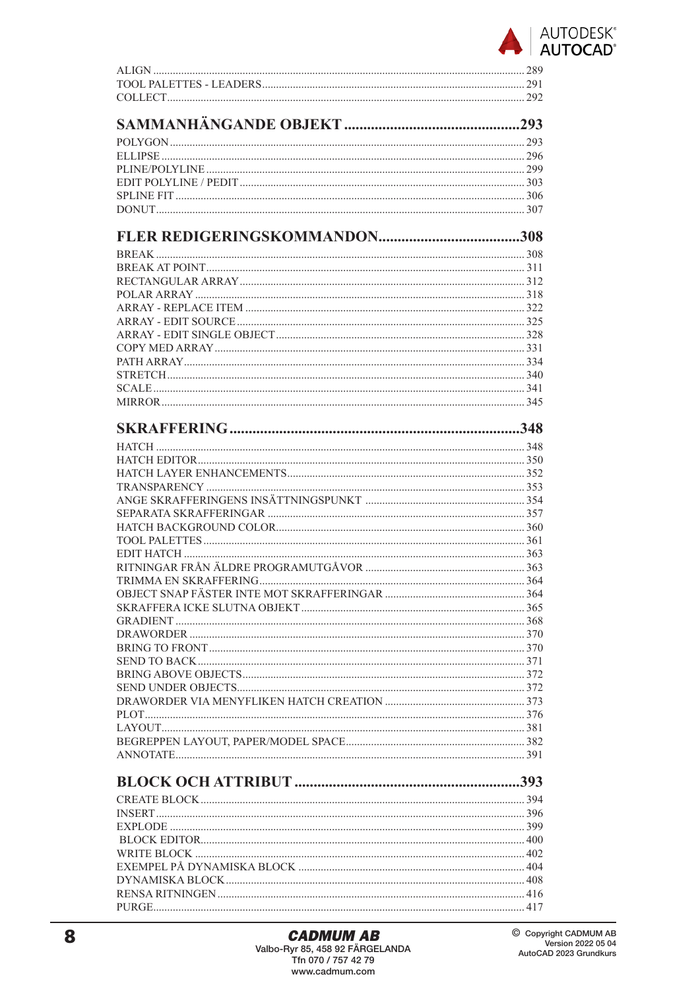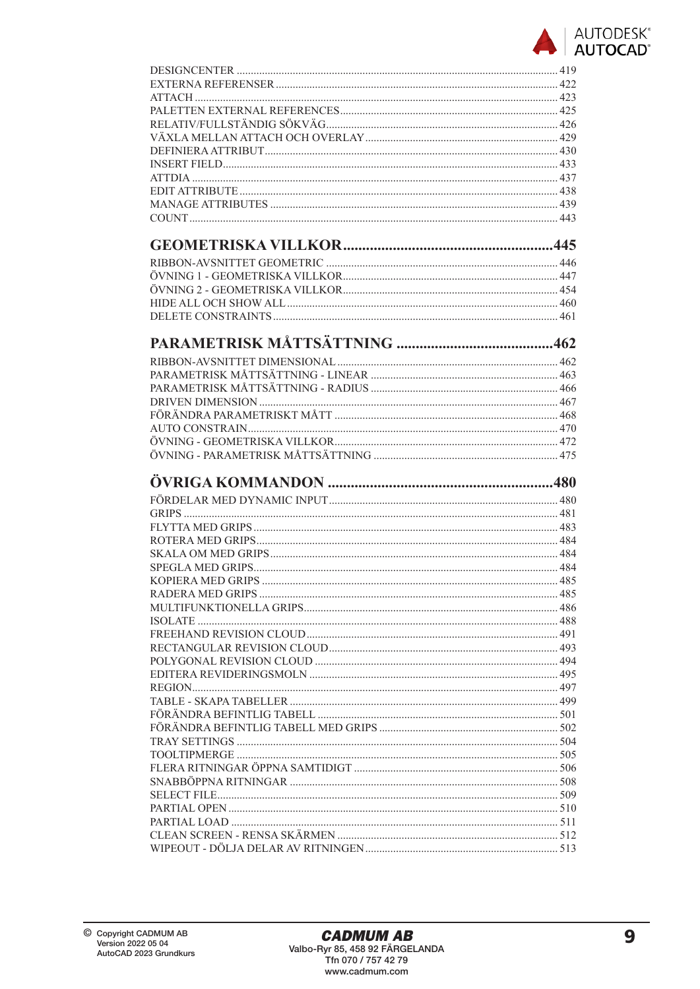